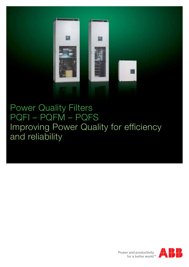

### Power Quality Filters PQFI – PQFM – PQFS Improving Power Quality for efficiency and reliability

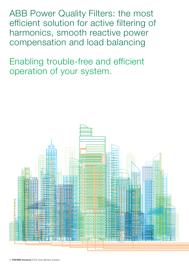ABB Power Quality Filters: the most efficient solution for active filtering of harmonics, smooth reactive power compensation and load balancing

Enabling trouble-free and efficient operation of your system.

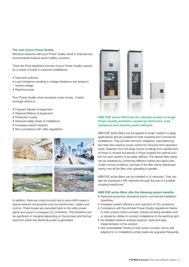#### The cost of poor Power Quality

Electrical networks with poor Power Quality result in financial loss, environmental impacts and/or safety concerns.

There are three significant sources of poor Power Quality caused by a variety of loads in customer installations:

- Harmonic pollution
- Load imbalance resulting in voltage imbalance and phase to neutral voltage
- Reactive power

Poor Power Quality when excessive costs money. It leads amongst others to:

- Frequent failures of equipment
- Reduced lifetime of equipment
- Production losses
- Reduced safety levels of installations
- Increased carbon footprint
- Non-compliance with utility regulations



In addition, there are costs incurred due to extra kWh losses in typical network components such as transformers, cables and motors. These losses are cascaded back to the utility power plants and result in increased CO<sub>2</sub> emissions. The emissions can be significant or marginal depending on the process and the fuel type from which the electrical power is generated.



#### ABB PQF active filters are the ultimate answer to tough Power Quality problems caused by harmonics, load unbalance and reactive power demand.

ABB PQF active filters can be applied to small, medium or large applications and are suitable for both industrial and commercial installations. They provide harmonic mitigation, load balancing and step-less reactive power control for inductive and capacitive loads. Selection from the large choice of ratings from several tens of Amps to several thousands of Amps enables the optimal solution for each system to be easily defined. The desired filter rating can be obtained by combining different master and slave units. Under normal conditions, the load of the filter will be distributed evenly over all the filter units operating in parallel.

ABB PQF active filters can be installed in LV networks. They can also be employed in MV networks through the use of a suitable coupling transformer.

#### ABB PQF active filters offer the following system benefits:

- Reduced production downtime and/or commercial installation downtime.
- $\bullet$  Increased system efficiency and reduction of CO<sub>2</sub> emissions.
- Compliance with the strictest Power Quality regulations thanks to their unique control concept, thereby avoiding penalties and/ or refusal by utilities to connect installations to the electrical grid.
- No detailed network analysis required, rapid and easy implementation of the solution.
- Not overloadable, thanks to their active concept, hence well adapted to LV installations where loads are upgraded frequently.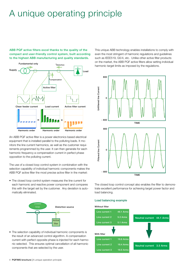# A unique operating principle

ABB PQF active filters excel thanks to the quality of the compact and user-friendly control system, built according to the highest ABB manufacturing and quality standards.



An ABB PQF active filter is a power electronics based electrical equipment that is installed parallel to the polluting loads. It monitors the line current harmonics, as well as the customer requirements programmed by the user. It can then generate for each harmonic frequency a compensation current in perfect phase opposition to the polluting current.

The use of a closed loop control system in combination with the selection capability of individual harmonic components makes the ABB PQF active filter the most precise active filter in the market:

• The closed loop control system measures the line current for each harmonic and reactive power component and compares this with the target set by the customer. Any deviation is automatically eliminated.



• The selection capability of individual harmonic components is the result of an advanced control algorithm. A compensation current with perfect opposite phase is injected for each harmonic selected. This ensures optimal cancellation of all harmonic components that are selected by the user.

This unique ABB technology enables installations to comply with even the most stringent of harmonic regulations and guidelines such as IEEE519, G5/4, etc. Unlike other active filter products on the market, the ABB PQF active filters allow setting individual harmonic target limits as imposed by the regulations.



The closed loop control concept also enables the filter to demonstrate excellent performance for achieving target power factor and load balancing.

#### Load balancing example

### Line current 1 49.1 Arms Line current 2 5.3 Arms Line current 3 5.1 Arms Without filter With filter Neutral current 44.1 Arms Neutral current 3.5 Arms Line current 1 19.6 Arms Line current 2 19.4 Arms Line current 3 19.5 Arms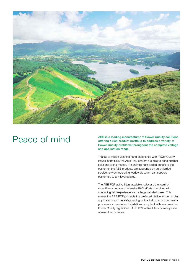

## Peace of mind

ABB is a leading manufacturer of Power Quality solutions offering a rich product portfolio to address a variety of Power Quality problems throughout the complete voltage and application range.

Thanks to ABB's vast first hand experience with Power Quality issues in the field, the ABB R&D centers are able to bring optimal solutions to the market. As an important added benefit to the customer, the ABB products are supported by an unrivalled service network operating worldwide which can support customers to any level desired.

The ABB PQF active filters available today are the result of more than a decade of intensive R&D efforts combined with continuing field experience from a large installed base. This makes the ABB PQF products the preferred choice for demanding applications such as safeguarding critical industrial or commercial processes, or rendering installations compliant with any prevailing Power Quality regulations. ABB PQF active filters provide peace of mind to customers.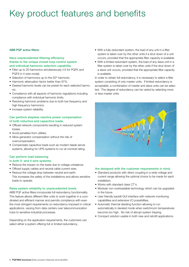# Key product features and benefits

#### ABB PQF active filters:

Have unprecedented filtering efficiency thanks to the unique closed loop control system and individual harmonic selection capability.

- Filter up to 20 harmonics simultaneously (15 for PQFK and PQFS in 4-wire mode).
- $\bullet$  Selection of harmonics up to the 50<sup>th</sup> harmonic.
- Harmonic attenuation factor better than 97%.
- Desired harmonic levels can be preset for each selected harmonic.
- Compliance with all aspects of harmonic regulations including compliance with individual harmonic limits.
- Resolving harmonic problems due to both low frequency and high frequency harmonics.
- Increase system reliability.

#### Can perform stepless reactive power compensation of both inductive and capacitive loads.

- Offload network components resulting in reduced system losses.
- Avoid penalties from utilities.
- Allow generator compensation without the risk of overcompensation.
- Compensate capacitive loads such as modern blade-server systems, allowing for UPS-systems to run at nominal rating.

### Can perform load balancing

- in both 3- and 4-wire systems.
- Reduce the impact on the loads due to voltage unbalance.
- Offload supply cables and neutral cable current wise.
- Reduce the voltage drop between neutral and earth. This increases the safety of the installations and allows sensitive loads to operate.

#### Raise system reliability to unprecedented levels.

ABB PQF active filters incorporate full redundancy functionnality. This feature allows different filter units to work together in a coordinated and efficient manner and permits compliance with even the most stringent requirements on redundancy imposed in critical applications, varying from data centers over telecommunication hubs to sensitive industrial processes.

Depending on the application requirements, the customers can select either a system offering full or limited redundancy.

- With a fully redundant system, the load of any unit in a filter system is taken over by the other units if a shut down of a unit occurs, provided that the appropriate filter capacity is available.
- With a limited redundant system, the load of any slave unit in a filter system is taken over by the other units if the shut down of a slave unit occurs, provided that the appropriate filter capacity is available.

In order to obtain full redundancy, it is necessary to select a filter system consisting of only master units. If limited redundancy is acceptable, a combination of master and slave units can be selected. The degree of redundancy can be varied by selecting more or less master units.



#### Are designed with the customer requirements in mind.

- Standard products with direct coupling in a wide voltage and current range allowing the optimal choice to be made for each installation.
- Works with standard class CT's.
- Modular non-overloadable technology which can be upgraded in the future.
- User friendly backlit GUI interface with network monitoring capabilities and extensive I/O possibilities.
- Automatic thermal derating function allowing to run automatically in derated mode when switchroom temperatures become too high. No risk of abrupt system tripping.
- Compact solution usable in both new and retrofit applications.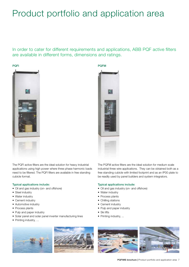# Product portfolio and application area

In order to cater for different requirements and applications, ABB PQF active filters are available in different forms, dimensions and ratings.

PQFM





The PQFI active filters are the ideal solution for heavy industrial applications using high power where three phase harmonic loads need to be filtered. The PQFI filters are available in free standing cubicle format.

#### Typical applications include:

- Oil and gas industry (on- and offshore)
- Steel industry
- Water industry
- Cement industry
- Automotive industry
- Process plants
- Pulp and paper industry
- Solar panel and solar panel inverter manufacturing lines
- Printing industry, ...



The PQFM active filters are the ideal solution for medium scale industrial three wire applications. They can be obtained both as a free standing cubicle with limited footprint and as an IP00 plate to be readily used by panel builders and system integrators.

#### Typical applications include:

- Oil and gas industry (on- and offshore)
- Water industry
- Process plants
- Chilling stations
- Cement industry
- Pulp and paper industry
- Ski lifts
- Printing industry, ...

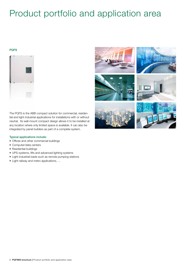# Product portfolio and application area

#### **PQFS**





The PQFS is the ABB compact solution for commercial, residential and light industrial applications for installations with or without neutral. Its wall-mount compact design allows it to be installed at any location where only limited space is available. It can also be integrated by panel builders as part of a complete system.

#### Typical applications include:

- Offices and other commercial buildings
- Computer/data centers
- Residential buildings
- • UPS-systems, lifts and advanced lighting systems
- • Light industrial loads such as remote pumping stations
- • Light railway and metro applications, …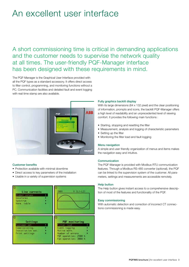## An excellent user interface

A short commissioning time is critical in demanding applications and the customer needs to supervise the network quality at all times. The user-friendly PQF-Manager interface has been designed with these requirements in mind.

The PQF-Manager is the Graphical User Interface provided with all the PQF types as a standard accessory. It offers direct access to filter control, programming, and monitoring functions without a PC. Communication facilities and detailed fault and event logging with real time stamp are also available.



#### Customer benefits

- Protection available with minimal downtime
- Direct access to key parameters of the installation
- Usable in a variety of supervision systems



#### Fully graphics backlit display

With its large dimensions (64 x 132 pixel) and the clear positioning of information, prompts and icons, the backlit PQF-Manager offers a high level of readability and an unprecedented level of viewing comfort. It provides the following main functions :

- Starting, stopping and resetting the filter
- Measurement, analysis and logging of characteristic parameters
- Setting up the filter
- Monitoring the filter load and fault logging

#### Menu navigation

A simple and user friendly organization of menus and items makes the navigation easy and intuitive.

#### **Communication**

The PQF-Manager is provided with Modbus RTU communication features. Through a Modbus RS-485 converter (optional), the PQF can be linked to the supervision system of the customer. All parameters, settings and measurements are accessible remotely.

#### Help button

The Help button gives instant access to a comprehensive description of most of the features and functionality of the PQF.

#### Easy commissioning

With automatic detection and correction of incorrect CT connections commissioning is made easy.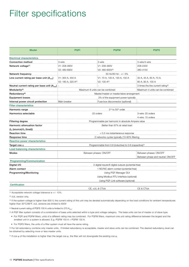### Filter specifications

| <b>Model</b>                                    | <b>PQFI</b>                                         | <b>PQFM</b>                                                          | <b>PQFS</b>                                    |  |
|-------------------------------------------------|-----------------------------------------------------|----------------------------------------------------------------------|------------------------------------------------|--|
| <b>Electrical characteristics</b>               |                                                     |                                                                      |                                                |  |
| <b>Connection method</b>                        | 3-wire                                              | 3-wire                                                               | 3-wire/4-wire                                  |  |
| Network voltage <sup>(1)</sup>                  | V1: 208-480V                                        | V1: 208-480V                                                         | 208-240V                                       |  |
|                                                 | V2: 480-690V                                        | V2: 480-600V(2)                                                      | 380-415V                                       |  |
| Network frequency                               | 50 Hz/60 Hz - +/- 5%                                |                                                                      |                                                |  |
| Line current rating per base unit $(Arms)$      | V1: 300 A, 450 A                                    | V1: 70 A, 100 A, 130 A, 150 A                                        | 30 A, 45 A, 60 A, 70 A,                        |  |
|                                                 | V2: 180 A, 320 A(3)                                 | $V2: 100 A^{(2)}$                                                    | 80 A, 90 A, 100 A                              |  |
| Neutral current rating per base unit $(Arms)$ . |                                                     |                                                                      | 3 times the line current rating <sup>(4)</sup> |  |
| Modularity <sup>(5)</sup>                       | Maximum 8 units can be combined                     |                                                                      | Maximum 4 units can be combined                |  |
| Redundancy <sup>(6)</sup>                       | Master/master or master/slave arrangement           |                                                                      |                                                |  |
| <b>Equipment losses</b>                         |                                                     | 3% of the equipment power typically                                  |                                                |  |
| Internal power circuit protection               | Main breaker                                        | Fuse box disconnector (optional)                                     |                                                |  |
| <b>Filter characteristics</b>                   |                                                     |                                                                      |                                                |  |
| Harmonic range                                  |                                                     | 2 <sup>nd</sup> to 50 <sup>th</sup> order                            |                                                |  |
| Harmonics selectable                            | 20 orders                                           |                                                                      | 3-wire: 20 orders                              |  |
|                                                 |                                                     |                                                                      | 4-wire: 15 orders                              |  |
| <b>Filtering degree</b>                         | Programmable per harmonic in absolute Ampere value  |                                                                      |                                                |  |
| Harmonic attenuation factor                     | Better than 97% at rated load                       |                                                                      |                                                |  |
| $(I_H$ (source)/ $I_H$ (load))                  |                                                     |                                                                      |                                                |  |
| <b>Reaction time</b>                            | < 0.5 ms instantaneous response                     |                                                                      |                                                |  |
| Response time                                   | 2 networks cycles typically (10-90% filtering       |                                                                      |                                                |  |
| Reactive power characteristics                  |                                                     |                                                                      |                                                |  |
| Target cos $\phi$                               |                                                     | Programmable from 0.6 (inductive) to 0.6 (capacitive) <sup>(7)</sup> |                                                |  |
| Load balancing characteristics                  |                                                     |                                                                      |                                                |  |
| <b>Modes</b>                                    | Between phases: ON/OFF                              |                                                                      | Between phases: ON/OFF                         |  |
|                                                 |                                                     |                                                                      | Between phase and neutral: ON/OFF              |  |
| Programming/Communication                       |                                                     |                                                                      |                                                |  |
| Digital I/O                                     | 2 digital inputs/6 digital outputs (potential free) |                                                                      |                                                |  |
| Alarm contact                                   | 1 NO/NC alarm contact (potential free)              |                                                                      |                                                |  |
| Programming/Monitoring                          | Using PQF-Manager GUI                               |                                                                      |                                                |  |
|                                                 | Using Modbus RTU interface (optional)               |                                                                      |                                                |  |
|                                                 | Using PQF-Link software (optional)                  |                                                                      |                                                |  |
| Certification                                   |                                                     |                                                                      |                                                |  |
|                                                 |                                                     | CE, cUL & CTick                                                      | CE & CTick                                     |  |

 $(1)$  Acceptable network voltage tolerance is  $+/-10\%$ .

(2) cUL version only.

<sup>(3)</sup> If the system voltage is higher than 600 V, the current rating of this unit may be derated automatically depending on the load conditions for ambient temperatures higher than 30°C/86°F. cUL versions are limited to 600V

 $^{(4)}$  Neutral current rating of PQFS 100 A units is limited to 270  $A_{rms}$ .

<sup>(5)</sup> A PQF filter system consists of a combination of base units selected within a type and voltage category. The base units can be of master or of slave type.

• For PQFI and PQFM filters, units of a different rating may be combined. For PQFM filters, maximum one unit rating difference between the largest and the smallest unit in a system is allowed. E.g. PQFM 150 A + PQFM 130 A.

• For PQFS filters, the units of a filter system must all have the same rating.

(6) For full redundancy combine only master units. If limited redundancy is acceptable, master and slave units can be combined. The desired redundancy level can be obtained by selecting more or less master units.

(7) If cos  $\varphi$  of the installation is higher than the target cos  $\varphi$ , the filter will not downgrade the existing cos  $\varphi$ .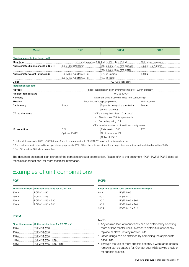| <b>Model</b>                       | <b>POFI</b>                                                                    | <b>POFM</b>                                         | <b>PQFS</b>          |  |
|------------------------------------|--------------------------------------------------------------------------------|-----------------------------------------------------|----------------------|--|
| Physical aspects (per base unit)   |                                                                                |                                                     |                      |  |
| Mounting                           |                                                                                | Free standing cubicle (PQFI-M) or IP00 plate (PQFM) | Wall-mount enclosure |  |
| Approximate dimensions (W x D x H) | 800 x 600 x 2150 mm                                                            | 600 x 600 x 2150 mm (cubicle)                       | 585 x 310 x 700 mm   |  |
|                                    |                                                                                | 498 x 432 x 1697 mm (plate)                         |                      |  |
| Approximate weight (unpacked)      | 180 A/300 A units: 525 kg                                                      | 270 kg (cubicle)                                    | 120 kg               |  |
|                                    | 320 A/450 A units: 620 kg                                                      | $150$ kg (plate)                                    |                      |  |
| Color                              | RAL 7035 (light gray)                                                          |                                                     |                      |  |
| <b>Installation aspects</b>        |                                                                                |                                                     |                      |  |
| Altitude                           | Indoor installation in clean environnment up to 1000 m altitude <sup>(1)</sup> |                                                     |                      |  |
| Ambient temperature                | $-10^{\circ}$ C to $40^{\circ}$ C <sup>(1)</sup>                               |                                                     |                      |  |
| Humidity                           | Maximum 95% relative humidity, non-condensing <sup>(2)</sup>                   |                                                     |                      |  |
| Fixation                           | Floor fixation/lifting lugs provided                                           |                                                     | Wall-mounted         |  |
| Cable entry                        | <b>Bottom</b>                                                                  | Top or bottom (to be specified at                   | Bottom               |  |
|                                    | time of ordering)                                                              |                                                     |                      |  |
| <b>CT</b> requirements             | 3 CT's are required (class 1.0 or better)                                      |                                                     |                      |  |
|                                    | Filter burden: 5VA for upto 8 units<br>$\bullet$                               |                                                     |                      |  |
|                                    | Secondary rating: 5 A                                                          |                                                     |                      |  |
|                                    | CT's must be installed in closed loop configuration                            |                                                     |                      |  |
| IP protection                      | IP21                                                                           | Plate version: IP00                                 | IP <sub>30</sub>     |  |
|                                    | Optional: IP41(3)                                                              | Cubicle version: IP21                               |                      |  |
|                                    |                                                                                | Optional: IP41(3)                                   |                      |  |

(1) Higher altitudes (up to 2000 m/ 6600 ft max.) and temperatures (up to 50°C/122°F max.) with suitable derating.

(2) The maximum relative humidity for operational purposes is 95%. When the units are stored for a longer time, do not exceed a relative humidity of 85%.

(3) For IP41 models, 10% derating applies.

The data here presented is an extract of the complete product specification. Please refer to the document "PQFI-PQFM-PQFS detailed technical specifications" for more technical information.

### Examples of unit combinations

#### PQFI

|       | Filter line current Unit combinations for PQFI - V1 |
|-------|-----------------------------------------------------|
| 300 A | PQFI-V1-M30                                         |
| 450 A | <b>PQFI-V1-M45</b>                                  |
| 750 A | PQFI-V1-M45 + S30                                   |
| 900 A | PQFI-V1-M45 + S45                                   |

#### PQFM

|       | Filter line current : Unit combinations for PQFM - V1 |
|-------|-------------------------------------------------------|
| 100 A | PQFM-V1-M10                                           |
| 130 A | PQFM-V1-M13                                           |
| 150 A | PQFM-V1-M15                                           |
| 300 A | PQFM-V1-M15 + S15                                     |
| 450 A | PQFM-V1-M15 + S15 + S15                               |

#### PQFS

|       | Filter line current : Unit combinations for PQFS |
|-------|--------------------------------------------------|
| 60 A  | PQFS-M06                                         |
| 100A  | POFS-M10                                         |
| 120 A | PQFS-M06 + S06                                   |
| 180 A | $PQFS-M09 + SO9$                                 |
| 200 A | PQFS-M10 + S10                                   |

#### Notes:

- Any desired level of redundancy can be obtained by selecting more or less master units. In order to obtain full redundancy replace all slave units by master units.
- Other ratings can be obtained by combining the appropriate base units.
- Through the use of more specific options, a wide range of requirements can be catered for. Contact your ABB service provider for specific queries.